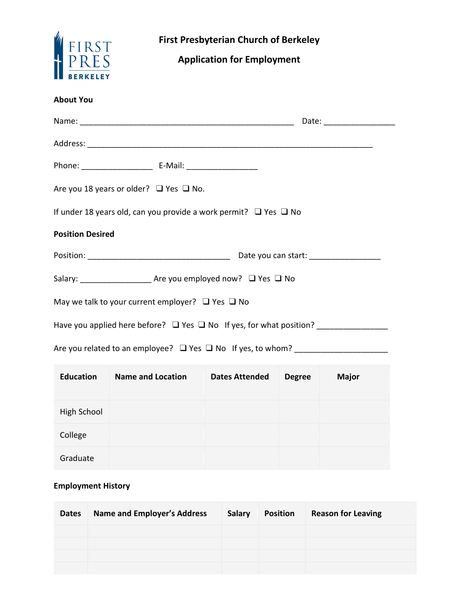|                                                            | <b>First Presbyterian Church of Berkeley</b><br><b>Application for Employment</b>      |  |  |  |
|------------------------------------------------------------|----------------------------------------------------------------------------------------|--|--|--|
| FIRST<br>HPRES                                             |                                                                                        |  |  |  |
| <b>About You</b>                                           |                                                                                        |  |  |  |
|                                                            |                                                                                        |  |  |  |
|                                                            |                                                                                        |  |  |  |
|                                                            | Phone: __________________________________ E-Mail: ______________________________       |  |  |  |
| Are you 18 years or older? $\Box$ Yes $\Box$ No.           |                                                                                        |  |  |  |
|                                                            | If under 18 years old, can you provide a work permit? $\Box$ Yes $\Box$ No             |  |  |  |
| <b>Position Desired</b>                                    |                                                                                        |  |  |  |
|                                                            |                                                                                        |  |  |  |
|                                                            | Salary: ________________________ Are you employed now? □ Yes □ No                      |  |  |  |
| May we talk to your current employer? $\Box$ Yes $\Box$ No |                                                                                        |  |  |  |
|                                                            | Have you applied here before? □ Yes □ No If yes, for what position? __________________ |  |  |  |
|                                                            |                                                                                        |  |  |  |

| <b>Education</b> | <b>Name and Location</b> | <b>Dates Attended</b> | <b>Degree</b> | <b>Major</b> |
|------------------|--------------------------|-----------------------|---------------|--------------|
| High School      |                          |                       |               |              |
| College          |                          |                       |               |              |
| Graduate         |                          |                       |               |              |

## **Employment History**

| <b>Dates</b> | <b>Name and Employer's Address</b> | <b>Salary</b> | <b>Position</b> | <b>Reason for Leaving</b> |
|--------------|------------------------------------|---------------|-----------------|---------------------------|
|              |                                    |               |                 |                           |
|              |                                    |               |                 |                           |
|              |                                    |               |                 |                           |
|              |                                    |               |                 |                           |